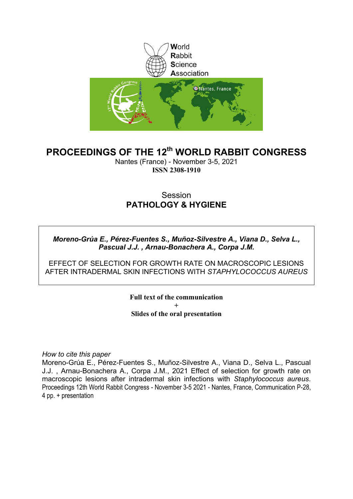

### **PROCEEDINGS OF THE 12th WORLD RABBIT CONGRESS**

Nantes (France) - November 3-5, 2021 **ISSN 2308-1910**

### **Session PATHOLOGY & HYGIENE**

### *Moreno-Grúa E., Pérez-Fuentes S., Muñoz-Silvestre A., Viana D., Selva L., Pascual J.J. , Arnau-Bonachera A., Corpa J.M.*

EFFECT OF SELECTION FOR GROWTH RATE ON MACROSCOPIC LESIONS AFTER INTRADERMAL SKIN INFECTIONS WITH *STAPHYLOCOCCUS AUREUS*

> **Full text of the communication + Slides of the oral presentation**

*How to cite this paper*

Moreno-Grúa E., Pérez-Fuentes S., Muñoz-Silvestre A., Viana D., Selva L., Pascual J.J. , Arnau-Bonachera A., Corpa J.M., 2021 Effect of selection for growth rate on macroscopic lesions after intradermal skin infections with *Staphylococcus aureus*. Proceedings 12th World Rabbit Congress - November 3-5 2021 - Nantes, France, Communication P-28, 4 pp. + presentation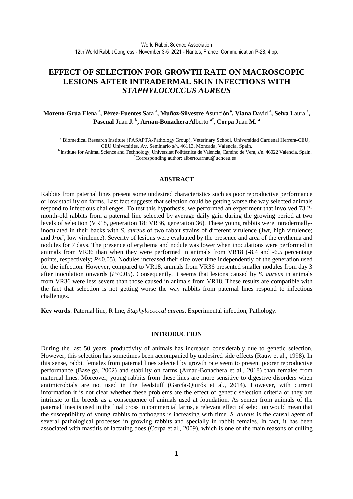### **EFFECT OF SELECTION FOR GROWTH RATE ON MACROSCOPIC LESIONS AFTER INTRADERMAL SKIN INFECTIONS WITH**  *STAPHYLOCOCCUS AUREUS*

**Moreno-Grúa E**lena **<sup>a</sup> , Pérez-Fuentes S**ara **<sup>a</sup> , Muñoz-Silvestre A**sunción**<sup>a</sup>, Viana D**avid **<sup>a</sup> , Selva L**aura **<sup>a</sup> , Pascual J**uan **J. <sup>b</sup> , Arnau-BonacheraA**lberto **a\*, Corpa J**uan **M. <sup>a</sup>**

<sup>a</sup> Biomedical Research Institute (PASAPTA-Pathology Group), Veterinary School, Universidad Cardenal Herrera-CEU, CEU Universities, Av. Seminario s/n, 46113, Moncada, Valencia, Spain.

<sup>b</sup>Institute for Animal Science and Technology, Universitat Politècnica de València, Camino de Vera, s/n. 46022 Valencia, Spain. \*Corresponding author: alberto.arnau@uchceu.es

### **ABSTRACT**

Rabbits from paternal lines present some undesired characteristics such as poor reproductive performance or low stability on farms. Last fact suggests that selection could be getting worse the way selected animals respond to infectious challenges. To test this hypothesis, we performed an experiment that involved 73 2 month-old rabbits from a paternal line selected by average daily gain during the growing period at two levels of selection (VR18, generation 18; VR36, generation 36). These young rabbits were intradermallyinoculated in their backs with *S. aureus* of two rabbit strains of different virulence (Jwt, high virulence; and Jrot<sup>+</sup>, low virulence). Severity of lesions were evaluated by the presence and area of the erythema and nodules for 7 days. The presence of erythema and nodule was lower when inoculations were performed in animals from VR36 than when they were performed in animals from VR18 (-8.4 and -6.5 percentage points, respectively; *P*<0.05). Nodules increased their size over time independently of the generation used for the infection. However, compared to VR18, animals from VR36 presented smaller nodules from day 3 after inoculation onwards (*P*<0.05). Consequently, it seems that lesions caused by *S. aureus* in animals from VR36 were less severe than those caused in animals from VR18. These results are compatible with the fact that selection is not getting worse the way rabbits from paternal lines respond to infectious challenges.

**Key words**: Paternal line, R line, *Staphylococcal aureus*, Experimental infection, Pathology.

### **INTRODUCTION**

During the last 50 years, productivity of animals has increased considerably due to genetic selection. However, this selection has sometimes been accompanied by undesired side effects (Rauw et al., 1998). In this sense, rabbit females from paternal lines selected by growth rate seem to present poorer reproductive performance (Baselga, 2002) and stability on farms (Arnau-Bonachera et al., 2018) than females from maternal lines. Moreover, young rabbits from these lines are more sensitive to digestive disorders when antimicrobials are not used in the feedstuff (García-Quirós et al., 2014). However, with current information it is not clear whether these problems are the effect of genetic selection criteria or they are intrinsic to the breeds as a consequence of animals used at foundation. As semen from animals of the paternal lines is used in the final cross in commercial farms, a relevant effect of selection would mean that the susceptibility of young rabbits to pathogens is increasing with time. *S. aureus* is the causal agent of several pathological processes in growing rabbits and specially in rabbit females. In fact, it has been associated with mastitis of lactating does (Corpa et al., 2009), which is one of the main reasons of culling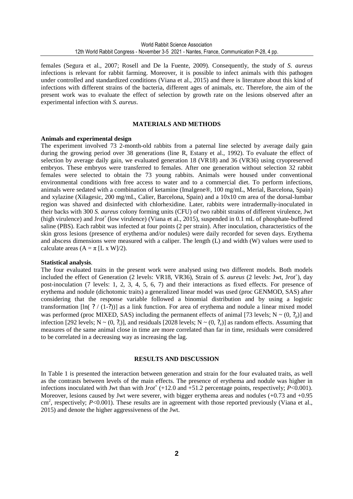females (Segura et al., 2007; Rosell and De la Fuente, 2009). Consequently, the study of *S. aureus* infections is relevant for rabbit farming. Moreover, it is possible to infect animals with this pathogen under controlled and standardized conditions (Viana et al., 2015) and there is literature about this kind of infections with different strains of the bacteria, different ages of animals, etc. Therefore, the aim of the present work was to evaluate the effect of selection by growth rate on the lesions observed after an experimental infection with *S. aureus*.

### **MATERIALS AND METHODS**

### **Animals and experimental design**

The experiment involved 73 2-month-old rabbits from a paternal line selected by average daily gain during the growing period over 38 generations (line R, Estany et al., 1992). To evaluate the effect of selection by average daily gain, we evaluated generation 18 (VR18) and 36 (VR36) using cryopreserved embryos. These embryos were transferred to females. After one generation without selection 32 rabbit females were selected to obtain the 73 young rabbits. Animals were housed under conventional environmental conditions with free access to water and to a commercial diet. To perform infections, animals were sedated with a combination of ketamine (Imalgene®, 100 mg/mL, Merial, Barcelona, Spain) and xylazine (Xilagesic, 200 mg/mL, Calier, Barcelona, Spain) and a 10x10 cm area of the dorsal-lumbar region was shaved and disinfected with chlorhexidine. Later, rabbits were intradermally-inoculated in their backs with 300 *S. aureus* colony forming units (CFU) of two rabbit strains of different virulence, Jwt (high virulence) and  $Jrot^+$  (low virulence) (Viana et al., 2015), suspended in 0.1 mL of phosphate-buffered saline (PBS). Each rabbit was infected at four points (2 per strain). After inoculation, characteristics of the skin gross lesions (presence of erythema and/or nodules) were daily recorded for seven days. Erythema and abscess dimensions were measured with a caliper. The length (L) and width (W) values were used to calculate areas  $(A = \pi [L \times W]/2)$ .

#### **Statistical analysis**.

The four evaluated traits in the present work were analysed using two different models. Both models included the effect of Generation (2 levels: VR18, VR36), Strain of *S. aureus* (2 levels: Jwt, Jrot<sup>+</sup>), day post-inoculation (7 levels: 1, 2, 3, 4, 5, 6, 7) and their interactions as fixed effects. For presence of erythema and nodule (dichotomic traits) a generalized linear model was used (proc GENMOD, SAS) after considering that the response variable followed a binomial distribution and by using a logistic transformation  $[\ln( ? / (1-?))]$  as a link function. For area of erythema and nodule a linear mixed model was performed (proc MIXED, SAS) including the permanent effects of animal [73 levels;  $N \sim (0, ?_n)$ ] and infection [292 levels;  $N \sim (0, ?<sub>i</sub>)$ ], and residuals [2028 levels;  $N \sim (0, ?<sub>e</sub>)$ ] as random effects. Assuming that measures of the same animal close in time are more correlated than far in time, residuals were considered to be correlated in a decreasing way as increasing the lag.

### **RESULTS AND DISCUSSION**

In Table 1 is presented the interaction between generation and strain for the four evaluated traits, as well as the contrasts between levels of the main effects. The presence of erythema and nodule was higher in infections inoculated with Jwt than with Jrot<sup>+</sup> (+12.0 and +51.2 percentage points, respectively;  $P<0.001$ ). Moreover, lesions caused by Jwt were severer, with bigger erythema areas and nodules (+0.73 and +0.95) cm<sup>2</sup>, respectively; *P*<0.001). These results are in agreement with those reported previously (Viana et al., 2015) and denote the higher aggressiveness of the Jwt.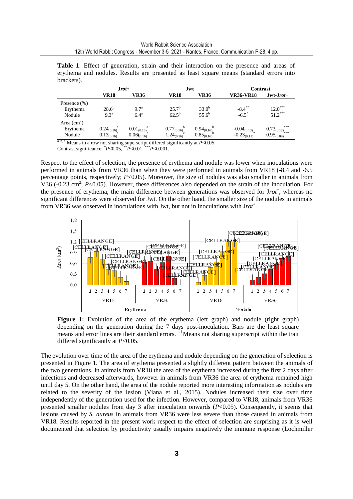**Table 1**: Effect of generation, strain and their interaction on the presence and areas of erythema and nodules. Results are presented as least square means (standard errors into brackets).

|                                       | $Jrot+$                                           |                                              | Jwt                                                   |                                            | <b>Contrast</b>                      |                                                          |
|---------------------------------------|---------------------------------------------------|----------------------------------------------|-------------------------------------------------------|--------------------------------------------|--------------------------------------|----------------------------------------------------------|
|                                       | VR18                                              | VR36                                         | VR18                                                  | VR36                                       | <b>VR36-VR18</b>                     | $Jwt-Jrot+$                                              |
| Presence $(\%)$<br>Erythema<br>Nodule | $28.6^{b}$<br>9.3 <sup>a</sup>                    | 9.7 <sup>a</sup><br>6.4 <sup>a</sup>         | $25.7^{\rm b}$<br>$62.5^{\rm b}$                      | $33.0^{b}$<br>$55.6^{b}$                   | $-8.4***$<br>$-6.5$ <sup>*</sup>     | $12.0***$<br>$51.2***$                                   |
| Area $(cm2)$<br>Erythema<br>Nodule    | $0.24_{(0.16)}^{\text{a}}$<br>$0.13_{(0.16)}^{a}$ | $0.01_{(0.16)}^{\text{a}}$<br>$0.06(0.16)^a$ | $0.77_{(0.16)}^{\text{b}}$<br>$1.24_{(0.16)}^{\circ}$ | $0.94_{(0.16)}^{\circ}$<br>$0.85_{(0.16)}$ | $-0.04_{(0.13)}$<br>$-0.23_{(0.11)}$ | ***<br>$0.73_{(0.12)}$ ***<br>0.95 <sub>(0.09)</sub> *** |

a, b, c Means in a row not sharing superscript differed significantly at *P*<0.05.

Contrast significance: \**P*<0.05, \*\**P*<0.01, \*\*\**P*<0.001.

Respect to the effect of selection, the presence of erythema and nodule was lower when inoculations were performed in animals from VR36 than when they were performed in animals from VR18 (-8.4 and -6.5 percentage points, respectively; *P*<0.05). Moreover, the size of nodules was also smaller in animals from V36 (-0.23 cm<sup>2</sup>;  $P < 0.05$ ). However, these differences also depended on the strain of the inoculation. For the presence of erythema, the main difference between generations was observed for Jrot<sup>+</sup>, whereas no significant differences were observed for Jwt. On the other hand, the smaller size of the nodules in animals from VR36 was observed in inoculations with Jwt, but not in inoculations with Jrot<sup>+</sup>.



Figure 1: Evolution of the area of the erythema (left graph) and nodule (right graph) depending on the generation during the 7 days post-inoculation. Bars are the least square means and error lines are their standard errors. <sup>a-i</sup> Means not sharing superscript within the trait differed significantly at *P*<0.05.

The evolution over time of the area of the erythema and nodule depending on the generation of selection is presented in Figure 1. The area of erythema presented a slightly different pattern between the animals of the two generations. In animals from VR18 the area of the erythema increased during the first 2 days after infections and decreased afterwards, however in animals from VR36 the area of erythema remained high until day 5. On the other hand, the area of the nodule reported more interesting information as nodules are related to the severity of the lesion (Viana et al., 2015). Nodules increased their size over time independently of the generation used for the infection. However, compared to VR18, animals from VR36 presented smaller nodules from day 3 after inoculation onwards (*P*<0.05). Consequently, it seems that lesions caused by *S. aureus* in animals from VR36 were less severe than those caused in animals from VR18. Results reported in the present work respect to the effect of selection are surprising as it is well documented that selection by productivity usually impairs negatively the immune response (Lochmiller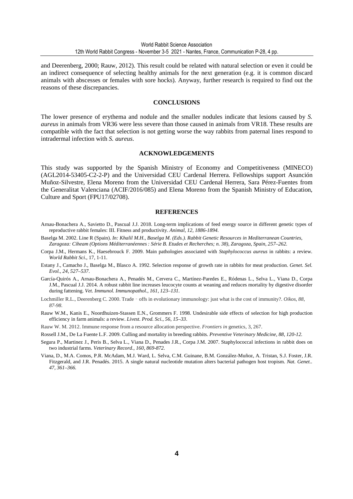and Deerenberg, 2000; Rauw, 2012). This result could be related with natural selection or even it could be an indirect consequence of selecting healthy animals for the next generation (e.g. it is common discard animals with abscesses or females with sore hocks). Anyway, further research is required to find out the reasons of these discrepancies.

### **CONCLUSIONS**

The lower presence of erythema and nodule and the smaller nodules indicate that lesions caused by *S. aureus* in animals from VR36 were less severe than those caused in animals from VR18. These results are compatible with the fact that selection is not getting worse the way rabbits from paternal lines respond to intradermal infection with *S. aureus*.

#### **ACKNOWLEDGEMENTS**

This study was supported by the Spanish Ministry of Economy and Competitiveness (MINECO) (AGL2014-53405-C2-2-P) and the Universidad CEU Cardenal Herrera. Fellowships support Asunción Muñoz-Silvestre, Elena Moreno from the Universidad CEU Cardenal Herrera, Sara Pérez-Fuentes from the Generalitat Valenciana (ACIF/2016/085) and Elena Moreno from the Spanish Ministry of Education, Culture and Sport (FPU17/02708).

#### **REFERENCES**

- Arnau-Bonachera A., Savietto D., Pascual J.J. 2018. Long-term implications of feed energy source in different genetic types of reproductive rabbit females: III. Fitness and productivity. *Animal*, *12, 1886-1894.*
- Baselga M. 2002. Line R (Spain). *In: Khalil M.H., Baselga M. (Eds.). Rabbit Genetic Resources in Mediterranean Countries, Zaragoza: Ciheam (Options Méditerranéennes : Série B. Etudes et Recherches; n. 38), Zaragoza, Spain, 257–262.*
- Corpa J.M., Hermans K., Haesebrouck F. 2009. Main pathologies associated with *Staphylococcus aureus* in rabbits: a review. *World Rabbit Sci*., 17, 1-11.
- Estany J., Camacho J., Baselga M., Blasco A. 1992. Selection response of growth rate in rabbits for meat production. *Genet. Sel. Evol.*, *24*, *527*–*537*.
- García-Quirós A., Arnau-Bonachera A., Penadés M., Cervera C., Martínez-Paredes E., Ródenas L., Selva L., Viana D., Corpa J.M., Pascual J.J. 2014. A robust rabbit line increases leucocyte counts at weaning and reduces mortality by digestive disorder during fattening. *Vet. Immunol. Immunopathol.*, *161*, *123*–*131*.
- Lochmiller R.L., Deerenberg C. 2000. Trade offs in evolutionary immunology: just what is the cost of immunity?. *Oikos*, 88, *87-98.*
- Rauw W.M., Kanis E., Noordhuizen-Stassen E.N., Grommers F. 1998. Undesirable side effects of selection for high production efficiency in farm animals: a review. *Livest. Prod. Sci.*, *56*, *15*–*33*.
- Rauw W. M. 2012. Immune response from a resource allocation perspective. *Frontiers in* genetics, 3, 267.
- Rossell J.M., De La Fuente L.F. 2009. Culling and mortality in breeding rabbits. *Preventive Veterinary Medicine, 88, 120-12.*
- Segura P., Martinez J., Peris B., Selva L., Viana D., Penades J.R., Corpa J.M. 2007. Staphylococcal infections in rabbit does on two industrial farms. *Veterinary Record., 160, 869-872.*
- Viana, D., M.A. Comos, P.R. McAdam, M.J. Ward, L. Selva, C.M. Guinane, B.M. González-Muñoz, A. Tristan, S.J. Foster, J.R. Fitzgerald, and J.R. Penadés. 2015. A single natural nucleotide mutation alters bacterial pathogen host tropism. *Nat. Genet.*. *47, 361–366.*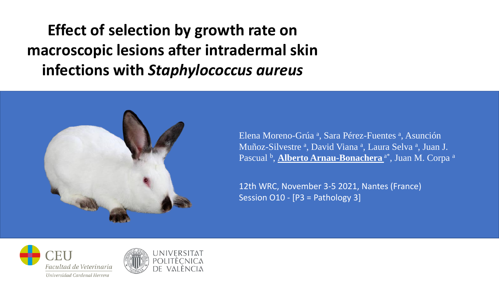**Effect of selection by growth rate on macroscopic lesions after intradermal skin infections with** *Staphylococcus aureus*



Elena Moreno-Grúa<sup>a</sup>, Sara Pérez-Fuentes<sup>a</sup>, Asunción Muñoz-Silvestre <sup>a</sup>, David Viana <sup>a</sup>, Laura Selva <sup>a</sup>, Juan J. Pascual <sup>b</sup>, <u>Al**berto Arnau-Bonachera** a\*,</u> Juan M. Corpa a

12th WRC, November 3-5 2021, Nantes (France) Session O10 - [P3 = Pathology 3]



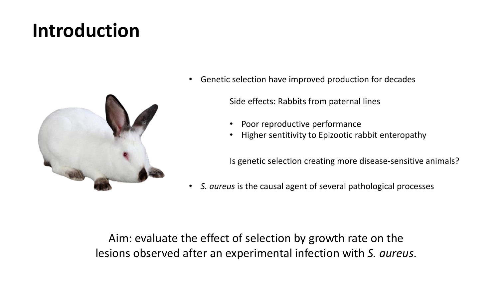# **Introduction**



• Genetic selection have improved production for decades

Side effects: Rabbits from paternal lines

- Poor reproductive performance
- Higher sentitivity to Epizootic rabbit enteropathy

Is genetic selection creating more disease-sensitive animals?

• *S. aureus* is the causal agent of several pathological processes

Aim: evaluate the effect of selection by growth rate on the lesions observed after an experimental infection with *S. aureus*.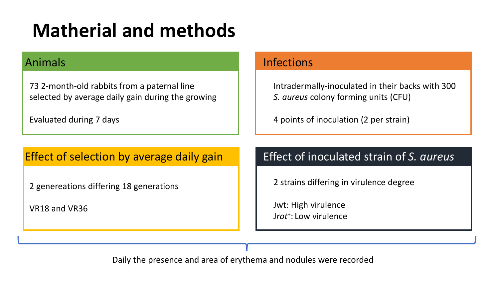# **Matherial and methods**

73 2-month-old rabbits from a paternal line selected by average daily gain during the growing

Evaluated during 7 days

### Animals **Infections**

Intradermally-inoculated in their backs with 300 *S. aureus* colony forming units (CFU)

4 points of inoculation (2 per strain)

Effect of selection by average daily gain Effect of inoculated strain of *S. aureus*

2 genereations differing 18 generations

VR18 and VR36

2 strains differing in virulence degree

Jwt: High virulence J*rot*<sup>+</sup> : Low virulence

Daily the presence and area of erythema and nodules were recorded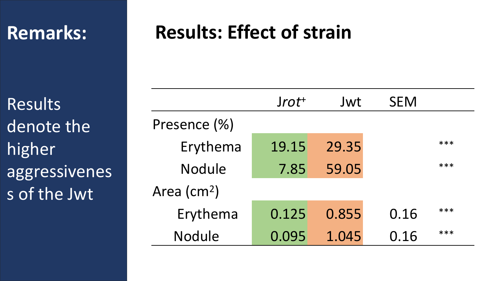## **Remarks:**

Results denote the higher aggressivenes s of the Jwt

# **Results: Effect of strain**

|                         | $Jrot^+$ | Jwt   | <b>SEM</b> |     |
|-------------------------|----------|-------|------------|-----|
| Presence (%)            |          |       |            |     |
| Erythema                | 19.15    | 29.35 |            | *** |
| <b>Nodule</b>           | 7.85     | 59.05 |            | *** |
| Area (cm <sup>2</sup> ) |          |       |            |     |
| Erythema                | 0.125    | 0.855 | 0.16       | *** |
| <b>Nodule</b>           | 0.095    | 1.045 | 0.16       | *** |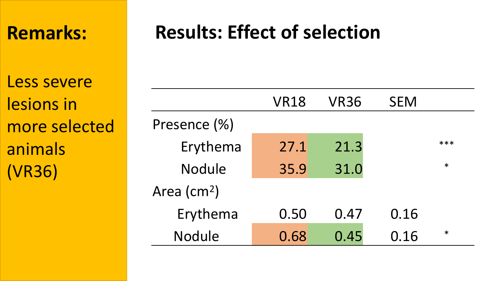## **Remarks:**

Less severe lesions in more selected animals (VR36)

# **Results: Effect of selection**

|                         | <b>VR18</b> | <b>VR36</b> | <b>SEM</b> |        |
|-------------------------|-------------|-------------|------------|--------|
| Presence (%)            |             |             |            |        |
| Erythema                | 27.1        | 21.3        |            | ***    |
| <b>Nodule</b>           | 35.9        | 31.0        |            | $\ast$ |
| Area (cm <sup>2</sup> ) |             |             |            |        |
| Erythema                | 0.50        | 0.47        | 0.16       |        |
| <b>Nodule</b>           | 0.68        | 0.45        | 0.16       | $\ast$ |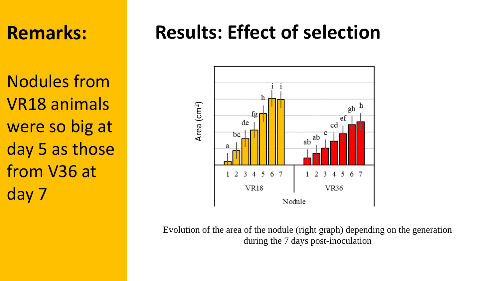## **Remarks:**

Nodules from VR18 animals were so big at day 5 as those from V36 at day 7

# **Results: Effect of selection**



Evolution of the area of the nodule (right graph) depending on the generation during the 7 days post-inoculation